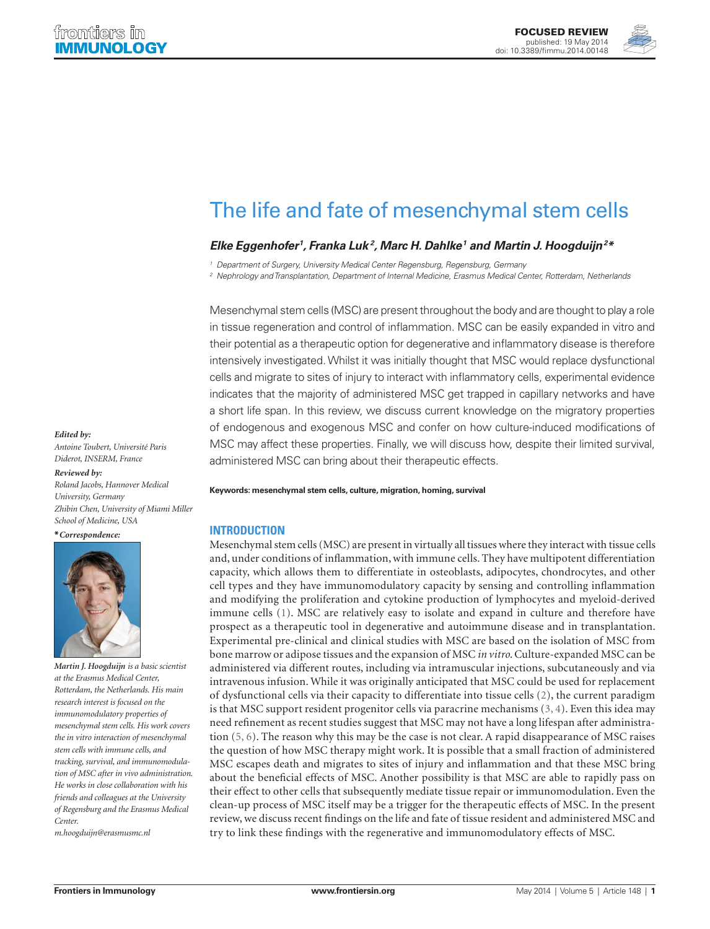# [The life and fate of mesenchymal stem cells](http://journal.frontiersin.org/Journal/10.3389/fimmu.2014.00148/abstract)

# *[Elke Eggenhofer1](http://www.frontiersin.org/people/u/45388) , [Franka Luk](http://www.frontiersin.org/people/u/143249) <sup>2</sup> , [Marc H. Dahlke](http://www.frontiersin.org/people/u/67382)1 and [Martin J. Hoogduijn](http://www.frontiersin.org/people/u/29382)2 \**

*<sup>1</sup> Department of Surgery, University Medical Center Regensburg, Regensburg, Germany*

**Keywords: mesenchymal stem cells, culture, migration, homing, survival**

*<sup>2</sup> Nephrology and Transplantation, Department of Internal Medicine, Erasmus Medical Center, Rotterdam, Netherlands*

Mesenchymal stem cells (MSC) are present throughout the body and are thought to play a role in tissue regeneration and control of inflammation. MSC can be easily expanded in vitro and their potential as a therapeutic option for degenerative and inflammatory disease is therefore intensively investigated. Whilst it was initially thought that MSC would replace dysfunctional cells and migrate to sites of injury to interact with inflammatory cells, experimental evidence indicates that the majority of administered MSC get trapped in capillary networks and have a short life span. In this review, we discuss current knowledge on the migratory properties of endogenous and exogenous MSC and confer on how culture-induced modifications of MSC may affect these properties. Finally, we will discuss how, despite their limited survival, administered MSC can bring about their therapeutic effects.

#### *Edited by: Antoine Toubert, Université Paris*

*Diderot, INSERM, France Reviewed by: Roland Jacobs, Hannover Medical University, Germany Zhibin Chen, University of Miami Miller* 

*School of Medicine, USA*

#### **\****Correspondence:*



*Martin J. Hoogduijn is a basic scientist at the Erasmus Medical Center, Rotterdam, the Netherlands. His main research interest is focused on the immunomodulatory properties of mesenchymal stem cells. His work covers the in vitro interaction of mesenchymal stem cells with immune cells, and tracking, survival, and immunomodulation of MSC after in vivo administration. He works in close collaboration with his friends and colleagues at the University of Regensburg and the Erasmus Medical Center.*

*[m.hoogduijn@erasmusmc.nl](mailto:m.hoogduijn@erasmusmc.nl)*

# **Introduction**

Mesenchymal stem cells (MSC) are present in virtually all tissues where they interact with tissue cells and, under conditions of inflammation, with immune cells. They have multipotent differentiation capacity, which allows them to differentiate in osteoblasts, adipocytes, chondrocytes, and other cell types and they have immunomodulatory capacity by sensing and controlling inflammation and modifying the proliferation and cytokine production of lymphocytes and myeloid-derived immune cells [\(1\).](#page-4-0) MSC are relatively easy to isolate and expand in culture and therefore have prospect as a therapeutic tool in degenerative and autoimmune disease and in transplantation. Experimental pre-clinical and clinical studies with MSC are based on the isolation of MSC from bone marrow or adipose tissues and the expansion of MSC *in vitro*. Culture-expanded MSC can be administered via different routes, including via intramuscular injections, subcutaneously and via intravenous infusion. While it was originally anticipated that MSC could be used for replacement of dysfunctional cells via their capacity to differentiate into tissue cells [\(2\)](#page-4-0), the current paradigm is that MSC support resident progenitor cells via paracrine mechanisms  $(3, 4)$ . Even this idea may need refinement as recent studies suggest that MSC may not have a long lifespan after administration [\(5, 6\)](#page-4-0). The reason why this may be the case is not clear. A rapid disappearance of MSC raises the question of how MSC therapy might work. It is possible that a small fraction of administered MSC escapes death and migrates to sites of injury and inflammation and that these MSC bring about the beneficial effects of MSC. Another possibility is that MSC are able to rapidly pass on their effect to other cells that subsequently mediate tissue repair or immunomodulation. Even the clean-up process of MSC itself may be a trigger for the therapeutic effects of MSC. In the present review, we discuss recent findings on the life and fate of tissue resident and administered MSC and try to link these findings with the regenerative and immunomodulatory effects of MSC.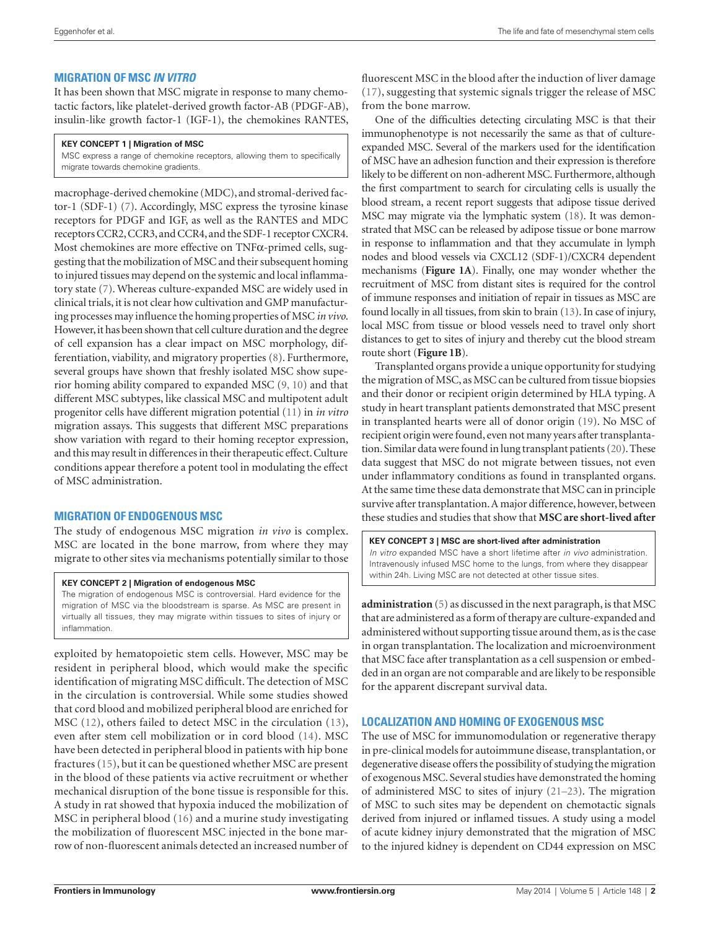# **Migration of MSC** *in vitro*

It has been shown that MSC migrate in response to many chemotactic factors, like platelet-derived growth factor-AB (PDGF-AB), insulin-like growth factor-1 (IGF-1), the chemokines RANTES,

#### **key concept 1 | Migration of MSC**

MSC express a range of chemokine receptors, allowing them to specifically migrate towards chemokine gradients.

macrophage-derived chemokine (MDC), and stromal-derived factor-1 (SDF-1) [\(7\).](#page-4-0) Accordingly, MSC express the tyrosine kinase receptors for PDGF and IGF, as well as the RANTES and MDC receptors CCR2, CCR3, and CCR4, and the SDF-1 receptor CXCR4. Most chemokines are more effective on TNFα-primed cells, suggesting that the mobilization of MSC and their subsequent homing to injured tissues may depend on the systemic and local inflammatory state [\(7\).](#page-4-0) Whereas culture-expanded MSC are widely used in clinical trials, it is not clear how cultivation and GMP manufacturing processes may influence the homing properties of MSC *in vivo*. However, it has been shown that cell culture duration and the degree of cell expansion has a clear impact on MSC morphology, differentiation, viability, and migratory properties [\(8\).](#page-4-0) Furthermore, several groups have shown that freshly isolated MSC show superior homing ability compared to expanded MSC [\(9, 10\)](#page-4-0) and that different MSC subtypes, like classical MSC and multipotent adult progenitor cells have different migration potential [\(11\)](#page-4-0) in *in vitro* migration assays. This suggests that different MSC preparations show variation with regard to their homing receptor expression, and this may result in differences in their therapeutic effect. Culture conditions appear therefore a potent tool in modulating the effect of MSC administration.

# **Migration of Endogenous MSC**

The study of endogenous MSC migration *in vivo* is complex. MSC are located in the bone marrow, from where they may migrate to other sites via mechanisms potentially similar to those

### **key concept 2 | Migration of endogenous MSC**

The migration of endogenous MSC is controversial. Hard evidence for the migration of MSC via the bloodstream is sparse. As MSC are present in virtually all tissues, they may migrate within tissues to sites of injury or inflammation.

exploited by hematopoietic stem cells. However, MSC may be resident in peripheral blood, which would make the specific identification of migrating MSC difficult. The detection of MSC in the circulation is controversial. While some studies showed that cord blood and mobilized peripheral blood are enriched for MSC [\(12\)](#page-4-0), others failed to detect MSC in the circulation [\(13\)](#page-4-0), even after stem cell mobilization or in cord blood [\(14\)](#page-4-0). MSC have been detected in peripheral blood in patients with hip bone fractures [\(15\)](#page-4-0), but it can be questioned whether MSC are present in the blood of these patients via active recruitment or whether mechanical disruption of the bone tissue is responsible for this. A study in rat showed that hypoxia induced the mobilization of MSC in peripheral blood ([16\)](#page-4-0) and a murine study investigating the mobilization of fluorescent MSC injected in the bone marrow of non-fluorescent animals detected an increased number of

fluorescent MSC in the blood after the induction of liver damage [\(17\)](#page-5-0), suggesting that systemic signals trigger the release of MSC from the bone marrow.

One of the difficulties detecting circulating MSC is that their immunophenotype is not necessarily the same as that of cultureexpanded MSC. Several of the markers used for the identification of MSC have an adhesion function and their expression is therefore likely to be different on non-adherent MSC. Furthermore, although the first compartment to search for circulating cells is usually the blood stream, a recent report suggests that adipose tissue derived MSC may migrate via the lymphatic system [\(18\).](#page-5-0) It was demonstrated that MSC can be released by adipose tissue or bone marrow in response to inflammation and that they accumulate in lymph nodes and blood vessels via CXCL12 (SDF-1)/CXCR4 dependent mechanisms (**[Figure](#page-2-0) 1A**). Finally, one may wonder whether the recruitment of MSC from distant sites is required for the control of immune responses and initiation of repair in tissues as MSC are found locally in all tissues, from skin to brain [\(13\).](#page-5-0) In case of injury, local MSC from tissue or blood vessels need to travel only short distances to get to sites of injury and thereby cut the blood stream route short (**[Figure](#page-2-0) 1B**).

Transplanted organs provide a unique opportunity for studying the migration of MSC, as MSC can be cultured from tissue biopsies and their donor or recipient origin determined by HLA typing. A study in heart transplant patients demonstrated that MSC present in transplanted hearts were all of donor origin [\(19\).](#page-5-0) No MSC of recipient origin were found, even not many years after transplantation. Similar data were found in lung transplant patients [\(20\).](#page-5-0) These data suggest that MSC do not migrate between tissues, not even under inflammatory conditions as found in transplanted organs. At the same time these data demonstrate that MSC can in principle survive after transplantation. A major difference, however, between these studies and studies that show that **MSC are short-lived after** 

**key concept 3 | MSC are short-lived after administration** *In vitro* expanded MSC have a short lifetime after *in vivo* administration.

Intravenously infused MSC home to the lungs, from where they disappear within 24h. Living MSC are not detected at other tissue sites.

**administration** [\(5\)](#page-4-0) as discussed in the next paragraph, is that MSC that are administered as a form of therapy are culture-expanded and administered without supporting tissue around them, as is the case in organ transplantation. The localization and microenvironment that MSC face after transplantation as a cell suspension or embedded in an organ are not comparable and are likely to be responsible for the apparent discrepant survival data.

# **Localization and Homing of Exogenous MSC**

The use of MSC for immunomodulation or regenerative therapy in pre-clinical models for autoimmune disease, transplantation, or degenerative disease offers the possibility of studying the migration of exogenous MSC. Several studies have demonstrated the homing of administered MSC to sites of injury [\(21–23\)](#page-5-0). The migration of MSC to such sites may be dependent on chemotactic signals derived from injured or inflamed tissues. A study using a model of acute kidney injury demonstrated that the migration of MSC to the injured kidney is dependent on CD44 expression on MSC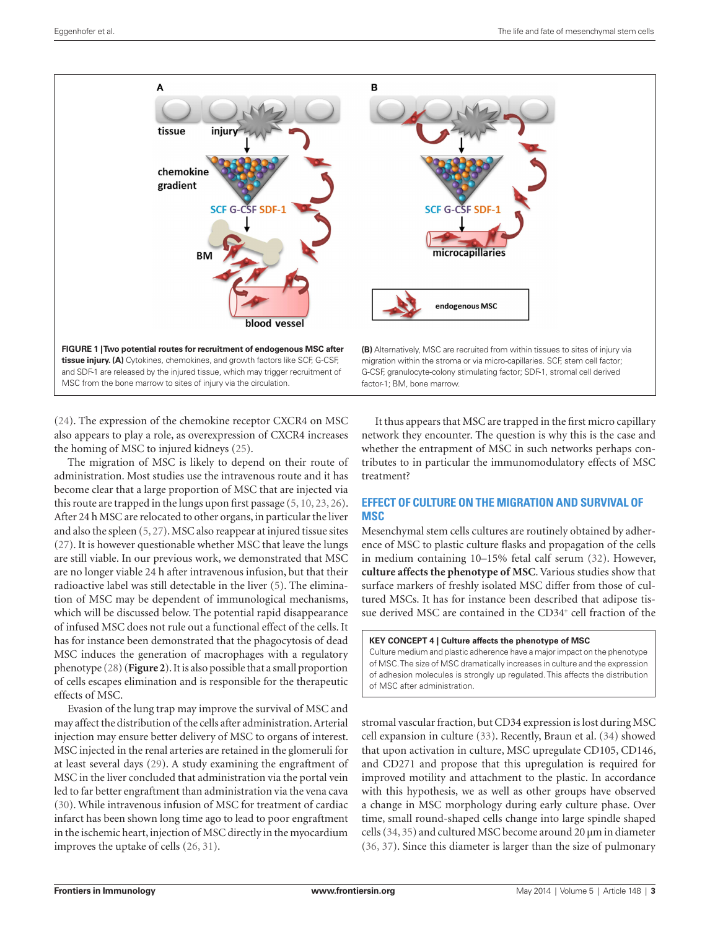<span id="page-2-0"></span>

[\(24\).](#page-5-0) The expression of the chemokine receptor CXCR4 on MSC also appears to play a role, as overexpression of CXCR4 increases the homing of MSC to injured kidneys [\(25\).](#page-5-0)

The migration of MSC is likely to depend on their route of administration. Most studies use the intravenous route and it has become clear that a large proportion of MSC that are injected via this route are trapped in the lungs upon first passage [\(5, 10,](#page-4-0) [23, 26\)](#page-5-0). After 24 h MSC are relocated to other organs, in particular the liver and also the spleen [\(5,](#page-4-0) [27\)](#page-5-0). MSC also reappear at injured tissue sites [\(27\).](#page-5-0) It is however questionable whether MSC that leave the lungs are still viable. In our previous work, we demonstrated that MSC are no longer viable 24 h after intravenous infusion, but that their radioactive label was still detectable in the liver [\(5\).](#page-4-0) The elimination of MSC may be dependent of immunological mechanisms, which will be discussed below. The potential rapid disappearance of infused MSC does not rule out a functional effect of the cells. It has for instance been demonstrated that the phagocytosis of dead MSC induces the generation of macrophages with a regulatory phenotype [\(28\)](#page-5-0) (**[Figure](#page-3-0) 2**). It is also possible that a small proportion of cells escapes elimination and is responsible for the therapeutic effects of MSC.

Evasion of the lung trap may improve the survival of MSC and may affect the distribution of the cells after administration. Arterial injection may ensure better delivery of MSC to organs of interest. MSC injected in the renal arteries are retained in the glomeruli for at least several days [\(29\)](#page-5-0). A study examining the engraftment of MSC in the liver concluded that administration via the portal vein led to far better engraftment than administration via the vena cava [\(30\)](#page-5-0). While intravenous infusion of MSC for treatment of cardiac infarct has been shown long time ago to lead to poor engraftment in the ischemic heart, injection of MSC directly in the myocardium improves the uptake of cells [\(26, 31\).](#page-5-0)

It thus appears that MSC are trapped in the first micro capillary network they encounter. The question is why this is the case and whether the entrapment of MSC in such networks perhaps contributes to in particular the immunomodulatory effects of MSC treatment?

# **Effect of Culture on the Migration and Survival of MSC**

Mesenchymal stem cells cultures are routinely obtained by adherence of MSC to plastic culture flasks and propagation of the cells in medium containing 10–15% fetal calf serum [\(32\)](#page-5-0). However, **culture affects the phenotype of MSC**. Various studies show that surface markers of freshly isolated MSC differ from those of cultured MSCs. It has for instance been described that adipose tissue derived MSC are contained in the CD34<sup>+</sup> cell fraction of the

**key concept 4 | Culture affects the phenotype of MSC**

Culture medium and plastic adherence have a major impact on the phenotype of MSC. The size of MSC dramatically increases in culture and the expression of adhesion molecules is strongly up regulated. This affects the distribution of MSC after administration.

stromal vascular fraction, but CD34 expression is lost during MSC cell expansion in culture [\(33\)](#page-5-0). Recently, Braun et al. [\(34\)](#page-5-0) showed that upon activation in culture, MSC upregulate CD105, CD146, and CD271 and propose that this upregulation is required for improved motility and attachment to the plastic. In accordance with this hypothesis, we as well as other groups have observed a change in MSC morphology during early culture phase. Over time, small round-shaped cells change into large spindle shaped cells [\(34, 35\)](#page-5-0) and cultured MSC become around 20 μm in diameter [\(36, 37\)](#page-5-0). Since this diameter is larger than the size of pulmonary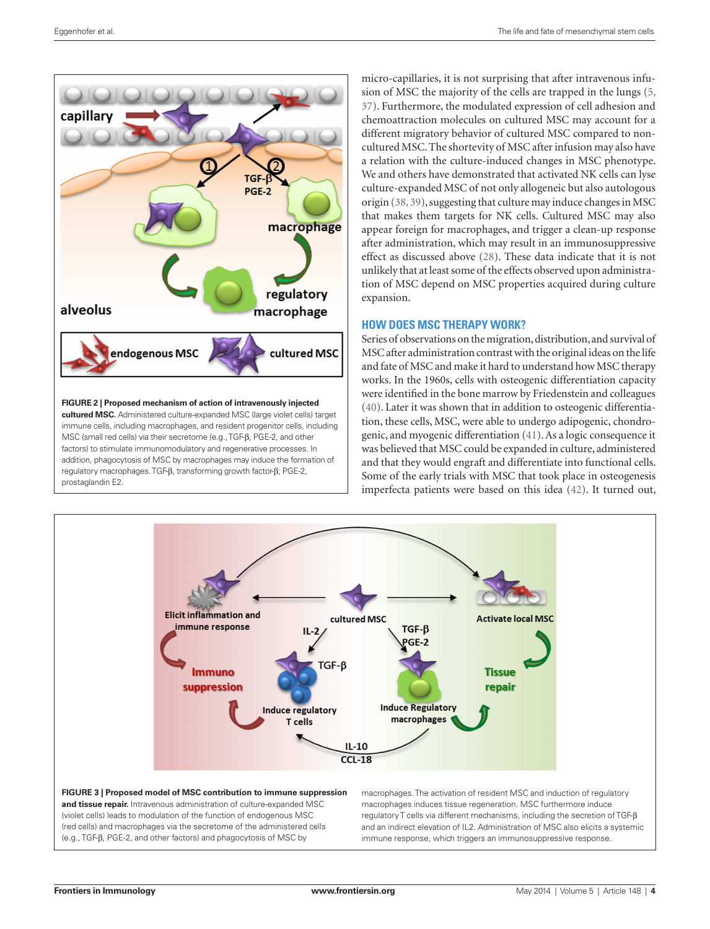<span id="page-3-0"></span>

**Figure 2 | Proposed mechanism of action of intravenously injected cultured MSC.** Administered culture-expanded MSC (large violet cells) target immune cells, including macrophages, and resident progenitor cells, including MSC (small red cells) via their secretome (e.g., TGF-β, PGE-2, and other factors) to stimulate immunomodulatory and regenerative processes. In addition, phagocytosis of MSC by macrophages may induce the formation of regulatory macrophages. TGF-β, transforming growth factor-β; PGE-2, prostaglandin E2.

micro-capillaries, it is not surprising that after intravenous infusion of MSC the majority of the cells are trapped in the lungs [\(5,](#page-4-0)  [37\)](#page-5-0). Furthermore, the modulated expression of cell adhesion and chemoattraction molecules on cultured MSC may account for a different migratory behavior of cultured MSC compared to noncultured MSC. The shortevity of MSC after infusion may also have a relation with the culture-induced changes in MSC phenotype. We and others have demonstrated that activated NK cells can lyse culture-expanded MSC of not only allogeneic but also autologous origin [\(38, 39\)](#page-5-0), suggesting that culture may induce changes in MSC that makes them targets for NK cells. Cultured MSC may also appear foreign for macrophages, and trigger a clean-up response after administration, which may result in an immunosuppressive effect as discussed above [\(28\)](#page-5-0). These data indicate that it is not unlikely that at least some of the effects observed upon administration of MSC depend on MSC properties acquired during culture expansion.

# **How does MSC Therapy Work?**

Series of observations on the migration, distribution, and survival of MSC after administration contrast with the original ideas on the life and fate of MSC and make it hard to understand how MSC therapy works. In the 1960s, cells with osteogenic differentiation capacity were identified in the bone marrow by Friedenstein and colleagues [\(40\).](#page-5-0) Later it was shown that in addition to osteogenic differentiation, these cells, MSC, were able to undergo adipogenic, chondrogenic, and myogenic differentiation [\(41\).](#page-5-0) As a logic consequence it was believed that MSC could be expanded in culture, administered and that they would engraft and differentiate into functional cells. Some of the early trials with MSC that took place in osteogenesis imperfecta patients were based on this idea [\(42\).](#page-5-0) It turned out,



**Figure 3 | Proposed model of MSC contribution to immune suppression and tissue repair.** Intravenous administration of culture-expanded MSC (violet cells) leads to modulation of the function of endogenous MSC (red cells) and macrophages via the secretome of the administered cells (e.g., TGF-β, PGE-2, and other factors) and phagocytosis of MSC by

macrophages. The activation of resident MSC and induction of regulatory macrophages induces tissue regeneration. MSC furthermore induce regulatory T cells via different mechanisms, including the secretion of TGF-β and an indirect elevation of IL2. Administration of MSC also elicits a systemic immune response, which triggers an immunosuppressive response.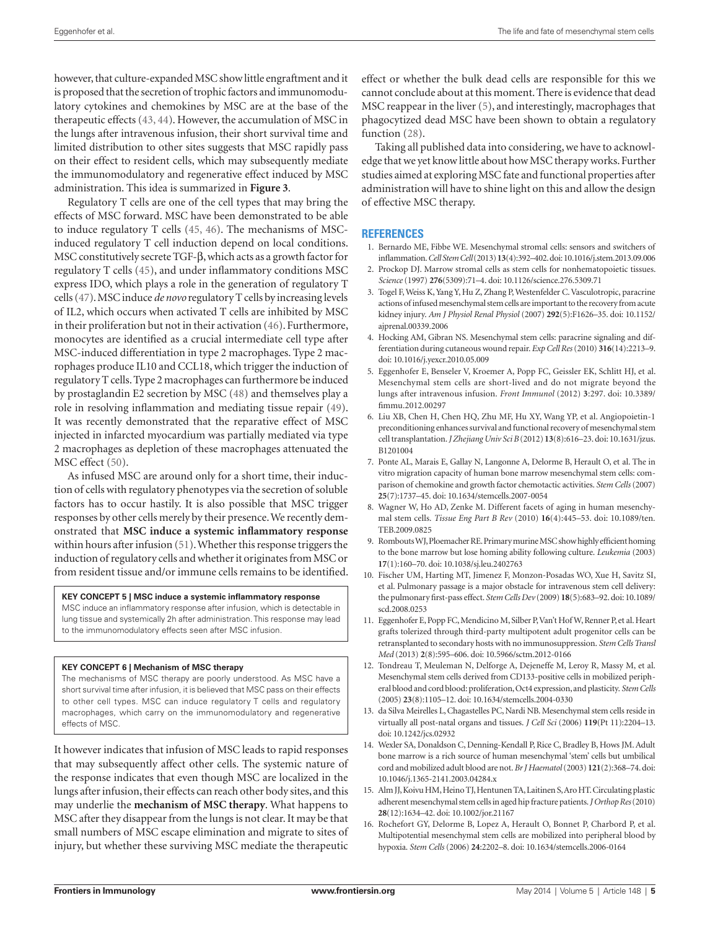<span id="page-4-0"></span>however, that culture-expanded MSC show little engraftment and it is proposed that the secretion of trophic factors and immunomodulatory cytokines and chemokines by MSC are at the base of the therapeutic effects [\(43, 44\).](#page-5-0) However, the accumulation of MSC in the lungs after intravenous infusion, their short survival time and limited distribution to other sites suggests that MSC rapidly pass on their effect to resident cells, which may subsequently mediate the immunomodulatory and regenerative effect induced by MSC administration. This idea is summarized in **[Figure](#page-3-0) 3**.

Regulatory T cells are one of the cell types that may bring the effects of MSC forward. MSC have been demonstrated to be able to induce regulatory T cells [\(45, 46\).](#page-5-0) The mechanisms of MSCinduced regulatory T cell induction depend on local conditions. MSC constitutively secrete TGF-β, which acts as a growth factor for regulatory T cells [\(45\),](#page-5-0) and under inflammatory conditions MSC express IDO, which plays a role in the generation of regulatory T cells [\(47\).](#page-5-0) MSC induce *de novo* regulatory T cells by increasing levels of IL2, which occurs when activated T cells are inhibited by MSC in their proliferation but not in their activation [\(46\).](#page-5-0) Furthermore, monocytes are identified as a crucial intermediate cell type after MSC-induced differentiation in type 2 macrophages. Type 2 macrophages produce IL10 and CCL18, which trigger the induction of regulatory T cells. Type 2 macrophages can furthermore be induced by prostaglandin E2 secretion by MSC [\(48\)](#page-5-0) and themselves play a role in resolving inflammation and mediating tissue repair [\(49\).](#page-5-0)  It was recently demonstrated that the reparative effect of MSC injected in infarcted myocardium was partially mediated via type 2 macrophages as depletion of these macrophages attenuated the MSC effect [\(50\)](#page-5-0).

As infused MSC are around only for a short time, their induction of cells with regulatory phenotypes via the secretion of soluble factors has to occur hastily. It is also possible that MSC trigger responses by other cells merely by their presence. We recently demonstrated that **MSC induce a systemic inflammatory response** within hours after infusion [\(51\).](#page-5-0) Whether this response triggers the induction of regulatory cells and whether it originates from MSC or from resident tissue and/or immune cells remains to be identified.

#### **key concept 5 | MSC induce a systemic inflammatory response**

MSC induce an inflammatory response after infusion, which is detectable in lung tissue and systemically 2h after administration. This response may lead to the immunomodulatory effects seen after MSC infusion.

#### **key concept 6 | Mechanism of MSC therapy**

The mechanisms of MSC therapy are poorly understood. As MSC have a short survival time after infusion, it is believed that MSC pass on their effects to other cell types. MSC can induce regulatory T cells and regulatory macrophages, which carry on the immunomodulatory and regenerative effects of MSC.

It however indicates that infusion of MSC leads to rapid responses that may subsequently affect other cells. The systemic nature of the response indicates that even though MSC are localized in the lungs after infusion, their effects can reach other body sites, and this may underlie the **mechanism of MSC therapy**. What happens to MSC after they disappear from the lungs is not clear. It may be that small numbers of MSC escape elimination and migrate to sites of injury, but whether these surviving MSC mediate the therapeutic effect or whether the bulk dead cells are responsible for this we cannot conclude about at this moment. There is evidence that dead MSC reappear in the liver (5), and interestingly, macrophages that phagocytized dead MSC have been shown to obtain a regulatory function [\(28\).](#page-5-0)

Taking all published data into considering, we have to acknowledge that we yet know little about how MSC therapy works. Further studies aimed at exploring MSC fate and functional properties after administration will have to shine light on this and allow the design of effective MSC therapy.

### **References**

- 1. Bernardo ME, Fibbe WE. Mesenchymal stromal cells: sensors and switchers of inflammation. *Cell Stem Cell* (2013) **13**(4):392–402. doi: 10.1016/j.stem.2013.09.006
- 2. Prockop DJ. Marrow stromal cells as stem cells for nonhematopoietic tissues. *Science* (1997) **276**(5309):71–4. doi: 10.1126/science.276.5309.71
- 3. Togel F, Weiss K, Yang Y, Hu Z, Zhang P, Westenfelder C. Vasculotropic, paracrine actions of infused mesenchymal stem cells are important to the recovery from acute kidney injury. *Am J Physiol Renal Physiol* (2007) **292**(5):F1626–35. doi: 10.1152/ ajprenal.00339.2006
- 4. Hocking AM, Gibran NS. Mesenchymal stem cells: paracrine signaling and differentiation during cutaneous wound repair. *Exp Cell Res* (2010) **316**(14):2213–9. doi: 10.1016/j.yexcr.2010.05.009
- 5. Eggenhofer E, Benseler V, Kroemer A, Popp FC, Geissler EK, Schlitt HJ, et al. Mesenchymal stem cells are short-lived and do not migrate beyond the lungs after intravenous infusion. *Front Immunol* (2012) **3**:297. doi: 10.3389/ fimmu.2012.00297
- 6. Liu XB, Chen H, Chen HQ, Zhu MF, Hu XY, Wang YP, et al. Angiopoietin-1 preconditioning enhances survival and functional recovery of mesenchymal stem cell transplantation. *J Zhejiang Univ Sci B* (2012) **13**(8):616–23. doi: 10.1631/jzus. B1201004
- 7. Ponte AL, Marais E, Gallay N, Langonne A, Delorme B, Herault O, et al. The in vitro migration capacity of human bone marrow mesenchymal stem cells: comparison of chemokine and growth factor chemotactic activities. *Stem Cells* (2007) **25**(7):1737–45. doi: 10.1634/stemcells.2007-0054
- 8. Wagner W, Ho AD, Zenke M. Different facets of aging in human mesenchymal stem cells. *Tissue Eng Part B Rev* (2010) **16**(4):445–53. doi: 10.1089/ten. TEB.2009.0825
- 9. Rombouts WJ, Ploemacher RE. Primary murine MSC show highly efficient homing to the bone marrow but lose homing ability following culture. *Leukemia* (2003) **17**(1):160–70. doi: 10.1038/sj.leu.2402763
- 10. Fischer UM, Harting MT, Jimenez F, Monzon-Posadas WO, Xue H, Savitz SI, et al. Pulmonary passage is a major obstacle for intravenous stem cell delivery: the pulmonary first-pass effect. *Stem Cells Dev* (2009) **18**(5):683–92. doi: 10.1089/ scd.2008.0253
- 11. Eggenhofer E, Popp FC, Mendicino M, Silber P, Van't Hof W, Renner P, et al. Heart grafts tolerized through third-party multipotent adult progenitor cells can be retransplanted to secondary hosts with no immunosuppression. *Stem Cells Transl Med* (2013) **2**(8):595–606. doi: 10.5966/sctm.2012-0166
- 12. Tondreau T, Meuleman N, Delforge A, Dejeneffe M, Leroy R, Massy M, et al. Mesenchymal stem cells derived from CD133-positive cells in mobilized peripheral blood and cord blood: proliferation, Oct4 expression, and plasticity. *Stem Cells* (2005) **23**(8):1105–12. doi: 10.1634/stemcells.2004-0330
- 13. da Silva Meirelles L, Chagastelles PC, Nardi NB. Mesenchymal stem cells reside in virtually all post-natal organs and tissues. *J Cell Sci* (2006) **119**(Pt 11):2204–13. doi: 10.1242/jcs.02932
- 14. Wexler SA, Donaldson C, Denning-Kendall P, Rice C, Bradley B, Hows JM. Adult bone marrow is a rich source of human mesenchymal 'stem' cells but umbilical cord and mobilized adult blood are not. *Br J Haematol* (2003) **121**(2):368–74. doi: 10.1046/j.1365-2141.2003.04284.x
- 15. Alm JJ, Koivu HM, Heino TJ, Hentunen TA, Laitinen S, Aro HT. Circulating plastic adherent mesenchymal stem cells in aged hip fracture patients. *J Orthop Res* (2010) **28**(12):1634–42. doi: 10.1002/jor.21167
- 16. Rochefort GY, Delorme B, Lopez A, Herault O, Bonnet P, Charbord P, et al. Multipotential mesenchymal stem cells are mobilized into peripheral blood by hypoxia. *Stem Cells* (2006) **24**:2202–8. doi: 10.1634/stemcells.2006-0164